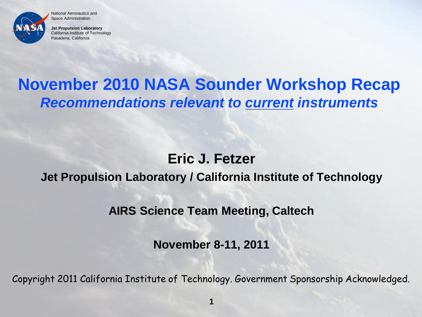

**Jet Propulsion Laboratory** California Institute of Technology Pasadena, California

# **November 2010 NASA Sounder Workshop Recap** *Recommendations relevant to current instruments*

#### **Eric J. Fetzer**

#### **Jet Propulsion Laboratory / California Institute of Technology**

**AIRS Science Team Meeting, Caltech**

**November 8-11, 2011**

Copyright 2011 California Institute of Technology. Government Sponsorship Acknowledged.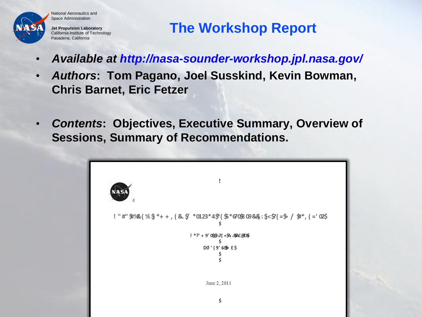

**Jet Propulsion Laboratory** California Institute of Technology Pasadena, California

## **The Workshop Report**

- *Available at http://nasa-sounder-workshop.jpl.nasa.gov/*
- *Authors***: Tom Pagano, Joel Susskind, Kevin Bowman, Chris Barnet, Eric Fetzer**
- *Contents***: Objectives, Executive Summary, Overview of Sessions, Summary of Recommendations.**

 $!$  "#"\$1%2(%\$\*++, (& \$ \*0123\*4\$"(\$\*670\$808&; \$<\$7(=\$ / \$#\*, (='02\$)  $! * ?' + 9'08@J' = $A - BAC@CB$ DO' (9' 6B E\$ June 2, 2011 \$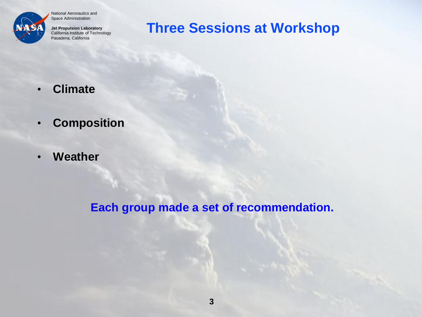

**Jet Propulsion Laboratory** California Institute of Technology Pasadena, California

### **Three Sessions at Workshop**

- **Climate**
- **Composition**
- **Weather**

**Each group made a set of recommendation.**

**3**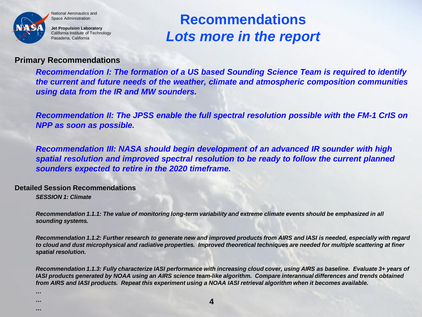

**Jet Propulsion Laboratory** California Institute of Technology Pasadena, California

# **Recommendations** *Lots more in the report*

#### **Primary Recommendations**

*Recommendation I: The formation of a US based Sounding Science Team is required to identify the current and future needs of the weather, climate and atmospheric composition communities using data from the IR and MW sounders.*

*Recommendation II: The JPSS enable the full spectral resolution possible with the FM-1 CrIS on NPP as soon as possible.*

*Recommendation III: NASA should begin development of an advanced IR sounder with high spatial resolution and improved spectral resolution to be ready to follow the current planned sounders expected to retire in the 2020 timeframe.*

**Detailed Session Recommendations**

*…* **<sup>4</sup>**

*SESSION 1: Climate*

*… …* 

*Recommendation 1.1.1: The value of monitoring long-term variability and extreme climate events should be emphasized in all sounding systems.*

*Recommendation 1.1.2: Further research to generate new and improved products from AIRS and IASI is needed, especially with regard to cloud and dust microphysical and radiative properties. Improved theoretical techniques are needed for multiple scattering at finer spatial resolution.*

*Recommendation 1.1.3: Fully characterize IASI performance with increasing cloud cover, using AIRS as baseline. Evaluate 3+ years of IASI products generated by NOAA using an AIRS science team-like algorithm. Compare interannual differences and trends obtained from AIRS and IASI products. Repeat this experiment using a NOAA IASI retrieval algorithm when it becomes available.*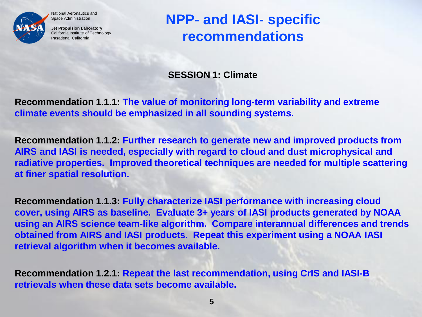

**Jet Propulsion Laboratory** California Institute of Technology Pasadena, California

# **NPP- and IASI- specific recommendations**

**SESSION 1: Climate**

**Recommendation 1.1.1: The value of monitoring long-term variability and extreme climate events should be emphasized in all sounding systems.**

**Recommendation 1.1.2: Further research to generate new and improved products from AIRS and IASI is needed, especially with regard to cloud and dust microphysical and radiative properties. Improved theoretical techniques are needed for multiple scattering at finer spatial resolution.**

**Recommendation 1.1.3: Fully characterize IASI performance with increasing cloud cover, using AIRS as baseline. Evaluate 3+ years of IASI products generated by NOAA using an AIRS science team-like algorithm. Compare interannual differences and trends obtained from AIRS and IASI products. Repeat this experiment using a NOAA IASI retrieval algorithm when it becomes available.**

**Recommendation 1.2.1: Repeat the last recommendation, using CrIS and IASI-B retrievals when these data sets become available.**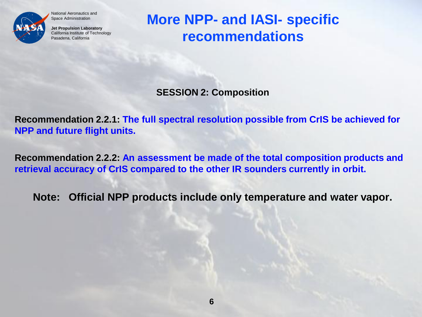

**Jet Propulsion Laboratory** California Institute of Technology Pasadena, California

**More NPP- and IASI- specific recommendations**

**SESSION 2: Composition**

**Recommendation 2.2.1: The full spectral resolution possible from CrIS be achieved for NPP and future flight units.**

**Recommendation 2.2.2: An assessment be made of the total composition products and retrieval accuracy of CrIS compared to the other IR sounders currently in orbit.**

**Note: Official NPP products include only temperature and water vapor.**

**6**